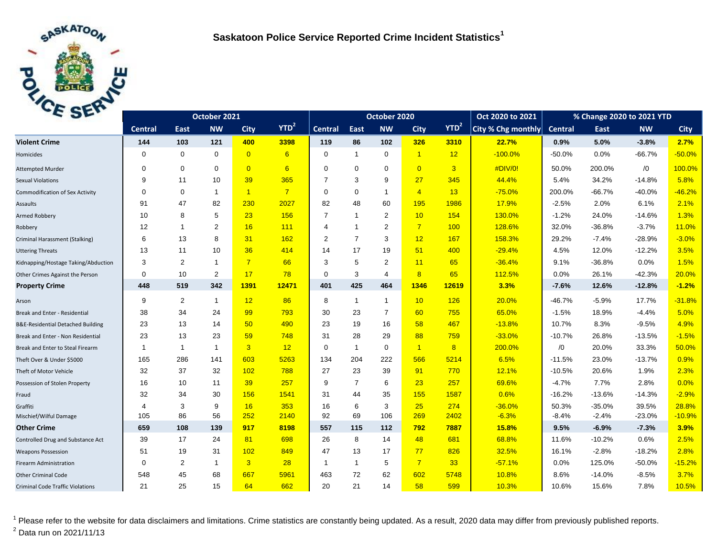

| C <sub>2F</sub>                              | October 2021   |                |                |                |                  | October 2020   |                |                |                | Oct 2020 to 2021 | % Change 2020 to 2021 YTD |                |          |            |             |
|----------------------------------------------|----------------|----------------|----------------|----------------|------------------|----------------|----------------|----------------|----------------|------------------|---------------------------|----------------|----------|------------|-------------|
|                                              | <b>Central</b> | East           | <b>NW</b>      | <b>City</b>    | YTD <sup>2</sup> | <b>Central</b> | <b>East</b>    | <b>NW</b>      | <b>City</b>    | YTD <sup>2</sup> | City % Chg monthly        | <b>Central</b> | East     | <b>NW</b>  | <b>City</b> |
| <b>Violent Crime</b>                         | 144            | 103            | 121            | 400            | 3398             | 119            | 86             | 102            | 326            | 3310             | 22.7%                     | 0.9%           | 5.0%     | $-3.8%$    | 2.7%        |
| Homicides                                    | 0              | $\mathbf 0$    | $\mathbf 0$    | $\overline{0}$ | 6                | $\mathbf 0$    | $\mathbf{1}$   | $\mathbf 0$    | $\overline{1}$ | 12               | $-100.0%$                 | $-50.0%$       | 0.0%     | $-66.7%$   | $-50.0%$    |
| <b>Attempted Murder</b>                      | $\Omega$       | $\mathbf 0$    | $\mathbf 0$    | $\overline{0}$ | 6                | $\Omega$       | $\mathbf 0$    | $\mathbf 0$    | $\overline{0}$ | $\overline{3}$   | #DIV/0!                   | 50.0%          | 200.0%   | $\sqrt{0}$ | 100.0%      |
| <b>Sexual Violations</b>                     | 9              | 11             | 10             | 39             | 365              | $\overline{7}$ | 3              | 9              | 27             | 345              | 44.4%                     | 5.4%           | 34.2%    | $-14.8%$   | 5.8%        |
| <b>Commodification of Sex Activity</b>       | $\Omega$       | $\mathbf 0$    | $\mathbf{1}$   | $\overline{1}$ | $\overline{7}$   | $\Omega$       | $\Omega$       | $\mathbf{1}$   | $\overline{4}$ | 13               | $-75.0%$                  | 200.0%         | $-66.7%$ | $-40.0%$   | $-46.2%$    |
| Assaults                                     | 91             | 47             | 82             | 230            | 2027             | 82             | 48             | 60             | 195            | 1986             | 17.9%                     | $-2.5%$        | 2.0%     | 6.1%       | 2.1%        |
| Armed Robbery                                | 10             | 8              | 5              | 23             | 156              | 7              | $\overline{1}$ | 2              | 10             | 154              | 130.0%                    | $-1.2%$        | 24.0%    | $-14.6%$   | 1.3%        |
| Robbery                                      | 12             | $\overline{1}$ | $\overline{2}$ | 16             | 111              | 4              | $\overline{1}$ | 2              | $\overline{7}$ | 100              | 128.6%                    | 32.0%          | $-36.8%$ | $-3.7%$    | 11.0%       |
| Criminal Harassment (Stalking)               | 6              | 13             | 8              | 31             | 162              | $\overline{2}$ | $\overline{7}$ | 3              | 12             | 167              | 158.3%                    | 29.2%          | $-7.4%$  | $-28.9%$   | $-3.0%$     |
| <b>Uttering Threats</b>                      | 13             | 11             | 10             | 36             | 414              | 14             | 17             | 19             | 51             | 400              | $-29.4%$                  | 4.5%           | 12.0%    | $-12.2%$   | 3.5%        |
| Kidnapping/Hostage Taking/Abduction          | 3              | 2              | $\mathbf{1}$   | $\overline{7}$ | 66               | 3              | 5              | 2              | $-11$          | 65               | $-36.4%$                  | 9.1%           | $-36.8%$ | 0.0%       | 1.5%        |
| Other Crimes Against the Person              | 0              | 10             | $\overline{2}$ | 17             | 78               | 0              | 3              | $\overline{4}$ | 8              | 65               | 112.5%                    | 0.0%           | 26.1%    | $-42.3%$   | 20.0%       |
| <b>Property Crime</b>                        | 448            | 519            | 342            | 1391           | 12471            | 401            | 425            | 464            | 1346           | 12619            | 3.3%                      | $-7.6%$        | 12.6%    | $-12.8%$   | $-1.2%$     |
| Arson                                        | 9              | 2              | $\mathbf{1}$   | 12             | 86               | 8              | $\mathbf{1}$   | $\mathbf{1}$   | 10             | 126              | 20.0%                     | $-46.7%$       | $-5.9%$  | 17.7%      | $-31.8%$    |
| Break and Enter - Residential                | 38             | 34             | 24             | 99             | 793              | 30             | 23             | $\overline{7}$ | 60             | 755              | 65.0%                     | $-1.5%$        | 18.9%    | $-4.4%$    | 5.0%        |
| <b>B&amp;E-Residential Detached Building</b> | 23             | 13             | 14             | 50             | 490              | 23             | 19             | 16             | 58             | 467              | $-13.8%$                  | 10.7%          | 8.3%     | $-9.5%$    | 4.9%        |
| Break and Enter - Non Residential            | 23             | 13             | 23             | 59             | 748              | 31             | 28             | 29             | 88             | 759              | $-33.0%$                  | $-10.7%$       | 26.8%    | $-13.5%$   | $-1.5%$     |
| Break and Enter to Steal Firearm             | 1              | $\mathbf{1}$   | 1              | $\overline{3}$ | 12               | 0              | $\mathbf{1}$   | $\mathbf 0$    | $\mathbf{1}$   | 8                | 200.0%                    | /0             | 20.0%    | 33.3%      | 50.0%       |
| Theft Over & Under \$5000                    | 165            | 286            | 141            | 603            | 5263             | 134            | 204            | 222            | 566            | 5214             | 6.5%                      | $-11.5%$       | 23.0%    | $-13.7%$   | 0.9%        |
| Theft of Motor Vehicle                       | 32             | 37             | 32             | 102            | 788              | 27             | 23             | 39             | 91             | 770              | 12.1%                     | $-10.5%$       | 20.6%    | 1.9%       | 2.3%        |
| Possession of Stolen Property                | 16             | 10             | 11             | 39             | 257              | 9              | $\overline{7}$ | 6              | 23             | 257              | 69.6%                     | $-4.7%$        | 7.7%     | 2.8%       | 0.0%        |
| Fraud                                        | 32             | 34             | 30             | 156            | 1541             | 31             | 44             | 35             | 155            | 1587             | 0.6%                      | $-16.2%$       | $-13.6%$ | $-14.3%$   | $-2.9%$     |
| Graffiti                                     | 4              | 3              | 9              | 16             | 353              | 16             | 6              | 3              | 25             | 274              | $-36.0%$                  | 50.3%          | $-35.0%$ | 39.5%      | 28.8%       |
| Mischief/Wilful Damage                       | 105            | 86             | 56             | 252            | 2140             | 92             | 69             | 106            | 269            | 2402             | $-6.3%$                   | $-8.4%$        | $-2.4%$  | $-23.0%$   | $-10.9%$    |
| <b>Other Crime</b>                           | 659            | 108            | 139            | 917            | 8198             | 557            | 115            | 112            | 792            | 7887             | 15.8%                     | 9.5%           | $-6.9%$  | $-7.3%$    | 3.9%        |
| Controlled Drug and Substance Act            | 39             | 17             | 24             | 81             | 698              | 26             | 8              | 14             | 48             | 681              | 68.8%                     | 11.6%          | $-10.2%$ | 0.6%       | 2.5%        |
| <b>Weapons Possession</b>                    | 51             | 19             | 31             | 102            | 849              | 47             | 13             | 17             | 77             | 826              | 32.5%                     | 16.1%          | $-2.8%$  | $-18.2%$   | 2.8%        |
| <b>Firearm Administration</b>                | 0              | 2              | $\mathbf{1}$   | $\overline{3}$ | 28               | -1             | $\mathbf{1}$   | 5              | $7^{\circ}$    | 33               | $-57.1%$                  | 0.0%           | 125.0%   | $-50.0%$   | $-15.2%$    |
| <b>Other Criminal Code</b>                   | 548            | 45             | 68             | 667            | 5961             | 463            | 72             | 62             | 602            | 5748             | 10.8%                     | 8.6%           | $-14.0%$ | $-8.5%$    | 3.7%        |
| <b>Criminal Code Traffic Violations</b>      | 21             | 25             | 15             | 64             | 662              | 20             | 21             | 14             | 58             | 599              | 10.3%                     | 10.6%          | 15.6%    | 7.8%       | 10.5%       |

<sup>1</sup> Please refer to the website for data disclaimers and limitations. Crime statistics are constantly being updated. As a result, 2020 data may differ from previously published reports. <sup>2</sup> Data run on 2021/11/13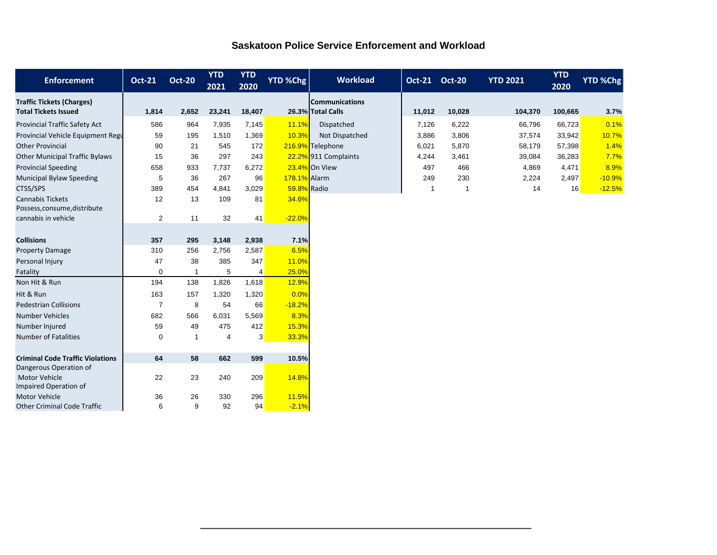|  |  | <b>Saskatoon Police Service Enforcement and Workload</b> |  |
|--|--|----------------------------------------------------------|--|
|  |  |                                                          |  |

| <b>Enforcement</b>                      | <b>Oct-21</b>  | <b>Oct-20</b> | <b>YTD</b><br>2021 | <b>YTD</b><br>2020 | <b>YTD %Chg</b> | <b>Workload</b>       | <b>Oct-21</b> | <b>Oct-20</b> | <b>YTD 2021</b> | <b>YTD</b><br>2020 | <b>YTD %Chg</b> |
|-----------------------------------------|----------------|---------------|--------------------|--------------------|-----------------|-----------------------|---------------|---------------|-----------------|--------------------|-----------------|
| <b>Traffic Tickets (Charges)</b>        |                |               |                    |                    |                 | <b>Communications</b> |               |               |                 |                    |                 |
| <b>Total Tickets Issued</b>             | 1,814          | 2,652         | 23,241             | 18,407             |                 | 26.3% Total Calls     | 11,012        | 10,028        | 104,370         | 100,665            | 3.7%            |
| <b>Provincial Traffic Safety Act</b>    | 586            | 964           | 7,935              | 7,145              | 11.1%           | Dispatched            | 7,126         | 6,222         | 66,796          | 66,723             | 0.1%            |
| Provincial Vehicle Equipment Regu       | 59             | 195           | 1,510              | 1,369              | 10.3%           | Not Dispatched        | 3,886         | 3,806         | 37,574          | 33,942             | 10.7%           |
| <b>Other Provincial</b>                 | 90             | 21            | 545                | 172                |                 | 216.9% Telephone      | 6,021         | 5,870         | 58,179          | 57,398             | 1.4%            |
| <b>Other Municipal Traffic Bylaws</b>   | 15             | 36            | 297                | 243                |                 | 22.2% 911 Complaints  | 4,244         | 3,461         | 39,084          | 36,283             | 7.7%            |
| <b>Provincial Speeding</b>              | 658            | 933           | 7,737              | 6,272              |                 | 23.4% On View         | 497           | 466           | 4,869           | 4,471              | 8.9%            |
| <b>Municipal Bylaw Speeding</b>         | 5              | 36            | 267                | 96                 | 178.1% Alarm    |                       | 249           | 230           | 2,224           | 2,497              | $-10.9%$        |
| CTSS/SPS                                | 389            | 454           | 4.841              | 3,029              | 59.8% Radio     |                       | $\mathbf{1}$  | $\mathbf{1}$  | 14              | 16                 | $-12.5%$        |
| <b>Cannabis Tickets</b>                 | 12             | 13            | 109                | 81                 | 34.6%           |                       |               |               |                 |                    |                 |
| Possess, consume, distribute            |                |               |                    |                    |                 |                       |               |               |                 |                    |                 |
| cannabis in vehicle                     | $\overline{2}$ | 11            | 32                 | 41                 | $-22.0%$        |                       |               |               |                 |                    |                 |
|                                         |                |               |                    |                    |                 |                       |               |               |                 |                    |                 |
| <b>Collisions</b>                       | 357            | 295           | 3,148              | 2,938              | 7.1%            |                       |               |               |                 |                    |                 |
| <b>Property Damage</b>                  | 310            | 256           | 2,756              | 2,587              | 6.5%            |                       |               |               |                 |                    |                 |
| Personal Injury                         | 47             | 38            | 385                | 347                | 11.0%           |                       |               |               |                 |                    |                 |
| Fatality                                | $\Omega$       | 1             | 5                  | $\overline{4}$     | 25.0%           |                       |               |               |                 |                    |                 |
| Non Hit & Run                           | 194            | 138           | 1,826              | 1,618              | 12.9%           |                       |               |               |                 |                    |                 |
| Hit & Run                               | 163            | 157           | 1,320              | 1,320              | 0.0%            |                       |               |               |                 |                    |                 |
| <b>Pedestrian Collisions</b>            | $\overline{7}$ | 8             | 54                 | 66                 | $-18.2%$        |                       |               |               |                 |                    |                 |
| <b>Number Vehicles</b>                  | 682            | 566           | 6,031              | 5,569              | 8.3%            |                       |               |               |                 |                    |                 |
| Number Injured                          | 59             | 49            | 475                | 412                | 15.3%           |                       |               |               |                 |                    |                 |
| <b>Number of Fatalities</b>             | $\Omega$       | $\mathbf{1}$  | $\overline{4}$     | 3                  | 33.3%           |                       |               |               |                 |                    |                 |
|                                         |                |               |                    |                    |                 |                       |               |               |                 |                    |                 |
| <b>Criminal Code Traffic Violations</b> | 64             | 58            | 662                | 599                | 10.5%           |                       |               |               |                 |                    |                 |
| Dangerous Operation of<br>Motor Vehicle | 22             | 23            | 240                | 209                | 14.8%           |                       |               |               |                 |                    |                 |
| Impaired Operation of                   |                |               |                    |                    |                 |                       |               |               |                 |                    |                 |
| <b>Motor Vehicle</b>                    | 36             | 26            | 330                | 296                | 11.5%           |                       |               |               |                 |                    |                 |
| <b>Other Criminal Code Traffic</b>      | 6              | 9             | 92                 | 94                 | $-2.1%$         |                       |               |               |                 |                    |                 |